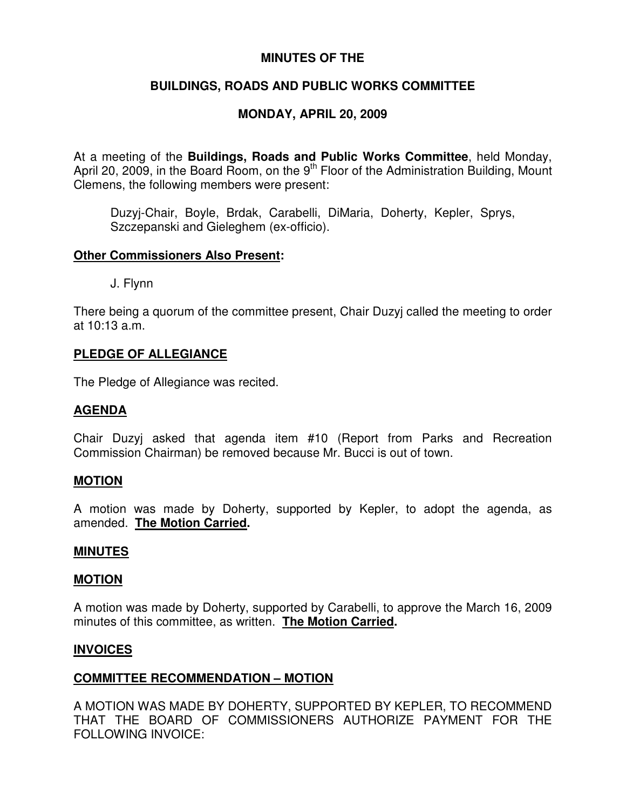## **MINUTES OF THE**

# **BUILDINGS, ROADS AND PUBLIC WORKS COMMITTEE**

# **MONDAY, APRIL 20, 2009**

At a meeting of the **Buildings, Roads and Public Works Committee**, held Monday, April 20, 2009, in the Board Room, on the 9<sup>th</sup> Floor of the Administration Building, Mount Clemens, the following members were present:

Duzyj-Chair, Boyle, Brdak, Carabelli, DiMaria, Doherty, Kepler, Sprys, Szczepanski and Gieleghem (ex-officio).

## **Other Commissioners Also Present:**

J. Flynn

There being a quorum of the committee present, Chair Duzyj called the meeting to order at 10:13 a.m.

## **PLEDGE OF ALLEGIANCE**

The Pledge of Allegiance was recited.

## **AGENDA**

Chair Duzyj asked that agenda item #10 (Report from Parks and Recreation Commission Chairman) be removed because Mr. Bucci is out of town.

## **MOTION**

A motion was made by Doherty, supported by Kepler, to adopt the agenda, as amended. **The Motion Carried.**

## **MINUTES**

## **MOTION**

A motion was made by Doherty, supported by Carabelli, to approve the March 16, 2009 minutes of this committee, as written. **The Motion Carried.**

## **INVOICES**

## **COMMITTEE RECOMMENDATION – MOTION**

A MOTION WAS MADE BY DOHERTY, SUPPORTED BY KEPLER, TO RECOMMEND THAT THE BOARD OF COMMISSIONERS AUTHORIZE PAYMENT FOR THE FOLLOWING INVOICE: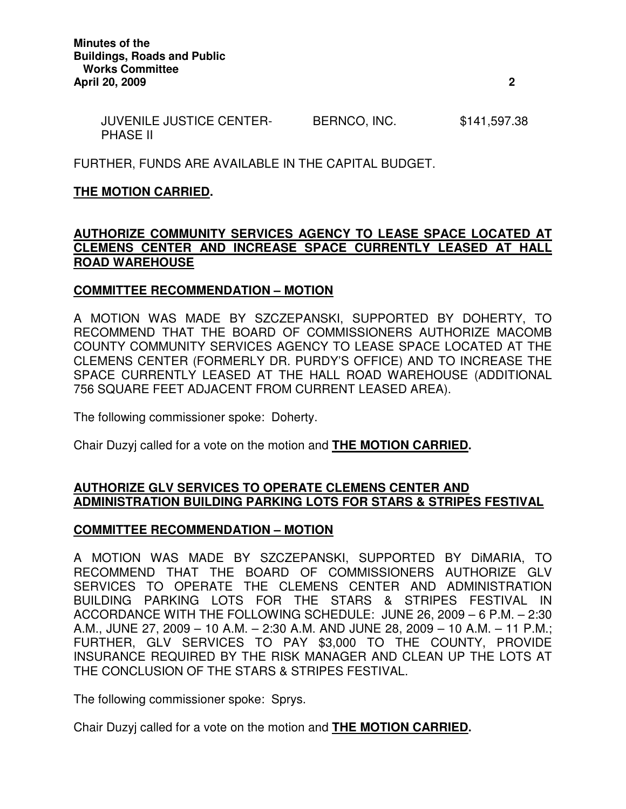| <b>JUVENILE JUSTICE CENTER-</b> | BERNCO, INC. | \$141,597.38 |
|---------------------------------|--------------|--------------|
| <b>PHASE II</b>                 |              |              |

FURTHER, FUNDS ARE AVAILABLE IN THE CAPITAL BUDGET.

## **THE MOTION CARRIED.**

## **AUTHORIZE COMMUNITY SERVICES AGENCY TO LEASE SPACE LOCATED AT CLEMENS CENTER AND INCREASE SPACE CURRENTLY LEASED AT HALL ROAD WAREHOUSE**

## **COMMITTEE RECOMMENDATION – MOTION**

A MOTION WAS MADE BY SZCZEPANSKI, SUPPORTED BY DOHERTY, TO RECOMMEND THAT THE BOARD OF COMMISSIONERS AUTHORIZE MACOMB COUNTY COMMUNITY SERVICES AGENCY TO LEASE SPACE LOCATED AT THE CLEMENS CENTER (FORMERLY DR. PURDY'S OFFICE) AND TO INCREASE THE SPACE CURRENTLY LEASED AT THE HALL ROAD WAREHOUSE (ADDITIONAL 756 SQUARE FEET ADJACENT FROM CURRENT LEASED AREA).

The following commissioner spoke: Doherty.

Chair Duzyj called for a vote on the motion and **THE MOTION CARRIED.**

## **AUTHORIZE GLV SERVICES TO OPERATE CLEMENS CENTER AND ADMINISTRATION BUILDING PARKING LOTS FOR STARS & STRIPES FESTIVAL**

## **COMMITTEE RECOMMENDATION – MOTION**

A MOTION WAS MADE BY SZCZEPANSKI, SUPPORTED BY DiMARIA, TO RECOMMEND THAT THE BOARD OF COMMISSIONERS AUTHORIZE GLV SERVICES TO OPERATE THE CLEMENS CENTER AND ADMINISTRATION BUILDING PARKING LOTS FOR THE STARS & STRIPES FESTIVAL IN ACCORDANCE WITH THE FOLLOWING SCHEDULE: JUNE 26, 2009 – 6 P.M. – 2:30 A.M., JUNE 27, 2009 – 10 A.M. – 2:30 A.M. AND JUNE 28, 2009 – 10 A.M. – 11 P.M.; FURTHER, GLV SERVICES TO PAY \$3,000 TO THE COUNTY, PROVIDE INSURANCE REQUIRED BY THE RISK MANAGER AND CLEAN UP THE LOTS AT THE CONCLUSION OF THE STARS & STRIPES FESTIVAL.

The following commissioner spoke: Sprys.

Chair Duzyj called for a vote on the motion and **THE MOTION CARRIED.**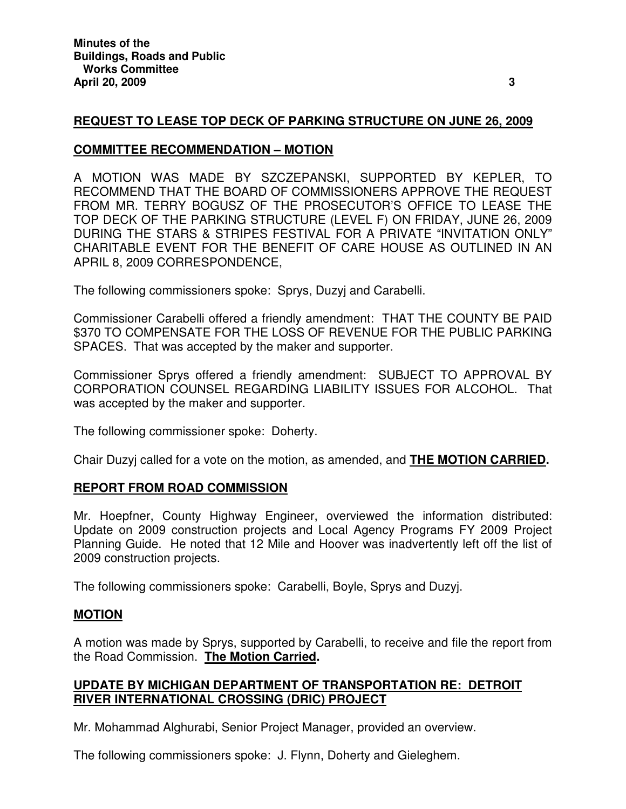## **REQUEST TO LEASE TOP DECK OF PARKING STRUCTURE ON JUNE 26, 2009**

## **COMMITTEE RECOMMENDATION – MOTION**

A MOTION WAS MADE BY SZCZEPANSKI, SUPPORTED BY KEPLER, TO RECOMMEND THAT THE BOARD OF COMMISSIONERS APPROVE THE REQUEST FROM MR. TERRY BOGUSZ OF THE PROSECUTOR'S OFFICE TO LEASE THE TOP DECK OF THE PARKING STRUCTURE (LEVEL F) ON FRIDAY, JUNE 26, 2009 DURING THE STARS & STRIPES FESTIVAL FOR A PRIVATE "INVITATION ONLY" CHARITABLE EVENT FOR THE BENEFIT OF CARE HOUSE AS OUTLINED IN AN APRIL 8, 2009 CORRESPONDENCE,

The following commissioners spoke: Sprys, Duzyj and Carabelli.

Commissioner Carabelli offered a friendly amendment: THAT THE COUNTY BE PAID \$370 TO COMPENSATE FOR THE LOSS OF REVENUE FOR THE PUBLIC PARKING SPACES. That was accepted by the maker and supporter.

Commissioner Sprys offered a friendly amendment: SUBJECT TO APPROVAL BY CORPORATION COUNSEL REGARDING LIABILITY ISSUES FOR ALCOHOL. That was accepted by the maker and supporter.

The following commissioner spoke: Doherty.

Chair Duzyj called for a vote on the motion, as amended, and **THE MOTION CARRIED.**

## **REPORT FROM ROAD COMMISSION**

Mr. Hoepfner, County Highway Engineer, overviewed the information distributed: Update on 2009 construction projects and Local Agency Programs FY 2009 Project Planning Guide. He noted that 12 Mile and Hoover was inadvertently left off the list of 2009 construction projects.

The following commissioners spoke: Carabelli, Boyle, Sprys and Duzyj.

## **MOTION**

A motion was made by Sprys, supported by Carabelli, to receive and file the report from the Road Commission. **The Motion Carried.**

## **UPDATE BY MICHIGAN DEPARTMENT OF TRANSPORTATION RE: DETROIT RIVER INTERNATIONAL CROSSING (DRIC) PROJECT**

Mr. Mohammad Alghurabi, Senior Project Manager, provided an overview.

The following commissioners spoke: J. Flynn, Doherty and Gieleghem.